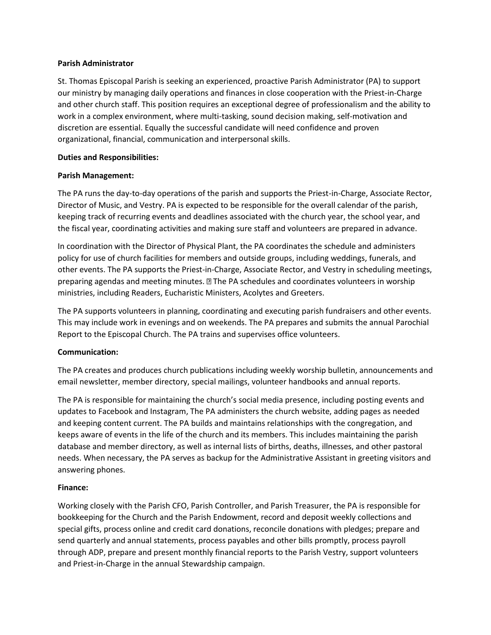### **Parish Administrator**

St. Thomas Episcopal Parish is seeking an experienced, proactive Parish Administrator (PA) to support our ministry by managing daily operations and finances in close cooperation with the Priest-in-Charge and other church staff. This position requires an exceptional degree of professionalism and the ability to work in a complex environment, where multi-tasking, sound decision making, self-motivation and discretion are essential. Equally the successful candidate will need confidence and proven organizational, financial, communication and interpersonal skills.

### **Duties and Responsibilities:**

# **Parish Management:**

The PA runs the day-to-day operations of the parish and supports the Priest-in-Charge, Associate Rector, Director of Music, and Vestry. PA is expected to be responsible for the overall calendar of the parish, keeping track of recurring events and deadlines associated with the church year, the school year, and the fiscal year, coordinating activities and making sure staff and volunteers are prepared in advance.

In coordination with the Director of Physical Plant, the PA coordinates the schedule and administers policy for use of church facilities for members and outside groups, including weddings, funerals, and other events. The PA supports the Priest-in-Charge, Associate Rector, and Vestry in scheduling meetings, preparing agendas and meeting minutes.  $\mathbb B$  The PA schedules and coordinates volunteers in worship ministries, including Readers, Eucharistic Ministers, Acolytes and Greeters.

The PA supports volunteers in planning, coordinating and executing parish fundraisers and other events. This may include work in evenings and on weekends. The PA prepares and submits the annual Parochial Report to the Episcopal Church. The PA trains and supervises office volunteers.

# **Communication:**

The PA creates and produces church publications including weekly worship bulletin, announcements and email newsletter, member directory, special mailings, volunteer handbooks and annual reports.

The PA is responsible for maintaining the church's social media presence, including posting events and updates to Facebook and Instagram, The PA administers the church website, adding pages as needed and keeping content current. The PA builds and maintains relationships with the congregation, and keeps aware of events in the life of the church and its members. This includes maintaining the parish database and member directory, as well as internal lists of births, deaths, illnesses, and other pastoral needs. When necessary, the PA serves as backup for the Administrative Assistant in greeting visitors and answering phones.

# **Finance:**

Working closely with the Parish CFO, Parish Controller, and Parish Treasurer, the PA is responsible for bookkeeping for the Church and the Parish Endowment, record and deposit weekly collections and special gifts, process online and credit card donations, reconcile donations with pledges; prepare and send quarterly and annual statements, process payables and other bills promptly, process payroll through ADP, prepare and present monthly financial reports to the Parish Vestry, support volunteers and Priest-in-Charge in the annual Stewardship campaign.